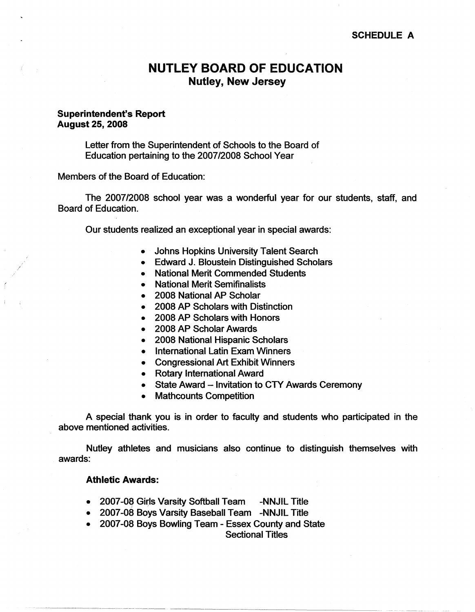### **SCHEDULE A**

# **NUTLEY BOARD OF EDUCATION Nutley, New Jersey**

## **Superintendent's Report August25,2008**

Letter from the Superintendent of Schools to the Board of Education pertaining to the 2007/2008 School Year

Members of the Board of Education:

The 2007/2008 school year was a wonderful year for our students, staff, and Board of Education.

Our students realized an exceptional year in special awards:

- Johns Hopkins University Talent Search
- Edward J. Bloustein Distinguished Scholars
- National Merit Commended Students
- National Merit Semifinalists
- 2008 National AP Scholar
- 2008 AP Scholars with Distinction
- 2008 AP Scholars with Honors
- 2008 AP Scholar Awards
- 2008 National Hispanic Scholars
- International Latin Exam Winners
- Congressional Art Exhibit Winners
- Rotary International Award
- State Award Invitation to CTY Awards Ceremony
- Mathcounts Competition

A special thank you is in order to faculty and students who participated in the above mentioned activities.

Nutley athletes and musicians also continue to distinguish themselves with awards:

### **Athletic Awards:**

- 2007-08 Girls Varsity Softball Team -NNJIL Title
- 2007-08 Boys Varsity Baseball Team -NNJIL Title
- 2007-08 Boys Bowling Team Essex County and State Sectional Titles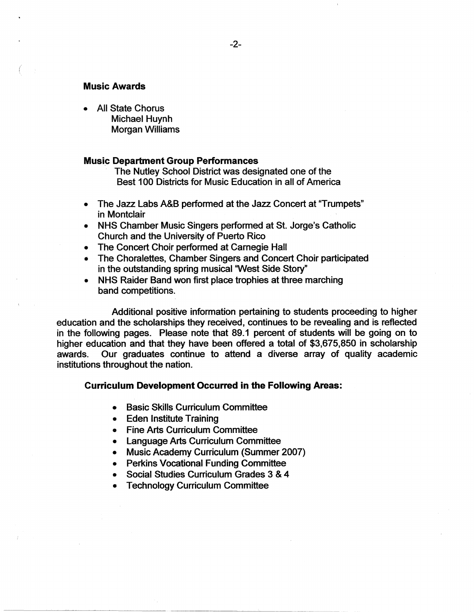## **Music Awards**

• All State Chorus Michael Huynh Morgan Williams

### **Music Department Group Performances**

The Nutley School District was designated one of the Best 100 Districts for Music Education in all of America

- The Jazz Labs A&B performed at the Jazz Concert at "Trumpets" in Montclair
- NHS Chamber Music Singers performed at St. Jorge's Catholic Church and the University of Puerto Rico
- The Concert Choir performed at Carnegie Hall
- The Choralettes, Chamber Singers and Concert Choir participated in the outstanding spring musical 'West Side Story"
- NHS Raider Band won first place trophies at three marching band competitions.

Additional positive information pertaining to students proceeding to higher education and the scholarships they received, continues to be revealing and is reflected in the following pages. Please note that 89.1 percent of students will be going on to higher education and that they have been offered a total of \$3,675,850 in scholarship awards. Our graduates continue to attend a diverse array of quality academic institutions throughout the nation.

### **Curriculum Development Occurred in the Following Areas:**

- Basic Skills Curriculum Committee
- Eden Institute Training
- Fine Arts Curriculum Committee
- Language Arts Curriculum Committee
- Music Academy Curriculum (Summer 2007)
- Perkins Vocational Funding Committee
- Social Studies Curriculum Grades 3 & 4
- Technology Curriculum Committee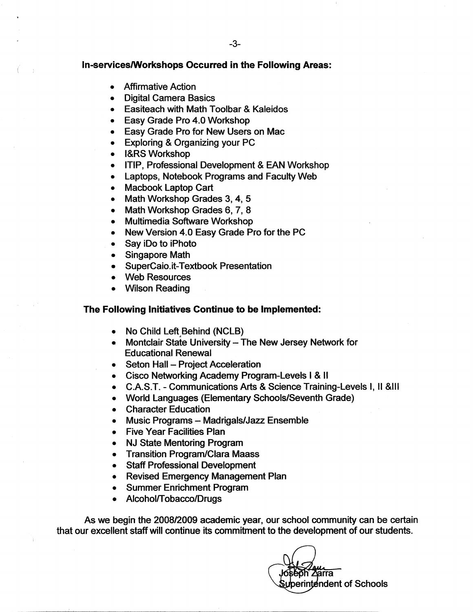### **In-services/Workshops Occurred** in **the Following Areas:**

- Affirmative Action
- Digital Camera Basics
- Easiteach with Math Toolbar & Kaleidos
- Easy Grade Pro 4.0 Workshop
- Easy Grade Pro for New Users on Mac
- Exploring & Organizing your PC
- l&RS Workshop
- ITIP, Professional Development & EAN Workshop
- Laptops, Notebook Programs and Faculty Web
- Macbook Laptop Cart
- Math Workshop Grades 3, 4, 5
- Math Workshop Grades 6, 7, 8
- Multimedia Software Workshop
- New Version 4.0 Easy Grade Pro for the PC
- Say iDo to iPhoto
- Singapore Math
- SuperCaio.it-Textbook Presentation
- Web Resources
- Wilson Reading

### The **Following Initiatives Continue to be Implemented:**

- 
- No Child Left Behind (NCLB)<br>• Montclair State University The New Jersey Network for Educational Renewal
- Seton Hall Project Acceleration
- Cisco Networking Academy Program-Levels I & II
- C.A.S.T. Communications Arts & Science Training-Levels I, II &Ill
- World Languages (Elementary Schools/Seventh Grade)
- Character Education
- Music Programs Madrigals/Jazz Ensemble
- Five Year Facilities Plan
- NJ State Mentoring Program
- Transition Program/Clara Maass
- Staff Professional Development
- Revised Emergency Management Plan
- Summer Enrichment Program
- Alcohol/Tobacco/Drugs

As we begin the 2008/2009 academic year, our school community can be certain that our excellent staff will continue its commitment to the development of our students.

Zarra perintendent of Schools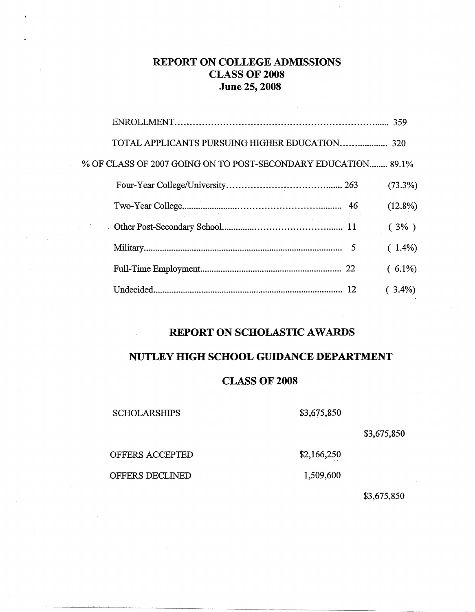# **REPORT ON COLLEGE ADMISSIONS CLASS OF 2008 June 25, 2008**

 $\mathcal{L}^{(1)}$ 

 $\ddot{\phantom{a}}$ 

|                                                               | 359        |
|---------------------------------------------------------------|------------|
| TOTAL APPLICANTS PURSUING HIGHER EDUCATION 320                |            |
| % OF CLASS OF 2007 GOING ON TO POST-SECONDARY EDUCATION 89.1% |            |
|                                                               | $(73.3\%)$ |
|                                                               | (12.8%)    |
|                                                               | $(3\%)$    |
|                                                               | $(1.4\%)$  |
|                                                               | $(6.1\%)$  |
| Undecided                                                     | $(3.4\%)$  |

# **REPORT ON SCHOLASTIC AWARDS**

# **NUTLEY ffiGH SCHOOL GUIDANCE DEPARTMENT**

# **CLASS OF 2008**

| <b>SCHOLARSHIPS</b>    | \$3,675,850 |             |
|------------------------|-------------|-------------|
|                        |             | \$3,675,850 |
| <b>OFFERS ACCEPTED</b> | \$2,166,250 |             |
| OFFERS DECLINED        | 1,509,600   |             |

## \$3,675,850

 $\bar{\gamma}$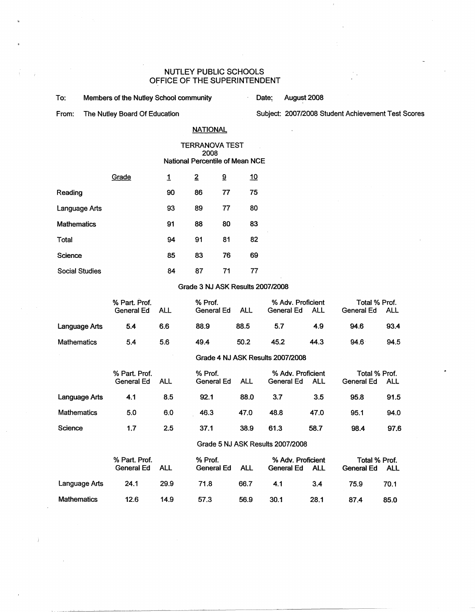### NUTLEY PUBLIC SCHOOLS OFFICE OF THE SUPERINTENDENT

| To: |  | Members of the Nutley School community |  |  |
|-----|--|----------------------------------------|--|--|
|-----|--|----------------------------------------|--|--|

Date; August 2008

From: The Nutley Board Of Education Subject: 2007/2008 Student Achievement Test Scores

## **NATIONAL**

#### TERRANOVA TEST 2008 National Percentile of Mean NCE

|                       | Grade | 1  | 2  | ទ្ទ | <u>10</u> |
|-----------------------|-------|----|----|-----|-----------|
| Reading               |       | 90 | 86 | 77  | 75        |
| Language Arts         |       | 93 | 89 | 77  | 80        |
| <b>Mathematics</b>    |       | 91 | 88 | 80  | 83        |
| Total                 |       | 94 | 91 | 81  | 82        |
| Science               |       | 85 | 83 | 76  | 69        |
| <b>Social Studies</b> |       | 84 | 87 | 71  | 77        |

#### Grade 3 NJ ASK Results 2007/2008

|                    | % Part. Prof.               |            | % Prof.               |                                  |                                 | % Adv. Proficient |                             | Total % Prof. |  |
|--------------------|-----------------------------|------------|-----------------------|----------------------------------|---------------------------------|-------------------|-----------------------------|---------------|--|
|                    | <b>General Ed</b>           | <b>ALL</b> | General Ed            | <b>ALL</b>                       | <b>General Ed</b>               | <b>ALL</b>        | General Ed                  | <b>ALL</b>    |  |
| Language Arts      | 5.4                         | 6.6        | 88.9                  | 88.5                             | 5.7                             | 4.9               | 94.6                        | 93.4          |  |
| <b>Mathematics</b> | 5.4                         | 5.6        | 49.4                  | 50.2                             | 45.2                            | 44.3              | $94.6^{\circ}$              | 94.5          |  |
|                    |                             |            |                       | Grade 4 NJ ASK Results 2007/2008 |                                 |                   |                             |               |  |
|                    | % Part. Prof.<br>General Ed | <b>ALL</b> | % Prof.<br>General Ed | <b>ALL</b>                       | % Adv. Proficient<br>General Ed | ALL               | Total % Prof.<br>General Ed | ALL           |  |
| Language Arts      | 4.1                         | 8.5        | 92.1                  | 88.0                             | 3.7                             | 3.5               | 95.8                        | 91.5          |  |
| <b>Mathematics</b> | 5.0                         | 6.0        | 46.3                  | 47.0                             | 48.8                            | 47.0              | 95.1                        | 94.0          |  |
| Science            | 1.7                         | 2.5        | 37.1                  | 38.9                             | 61.3                            | 58.7              | 98.4                        | 97.6          |  |
|                    |                             |            |                       |                                  |                                 |                   |                             |               |  |

#### Grade 5 NJ ASK Results 2007/2008

|                    | % Part. Prof.<br>General Ed | ALL  | % Prof.<br>General Ed | ALL  | % Adv. Proficient<br>General Ed | ALL  | Total % Prof.<br>General Ed | ALL  |
|--------------------|-----------------------------|------|-----------------------|------|---------------------------------|------|-----------------------------|------|
| Language Arts      | 24.1                        | 29.9 | 71.8                  | 66.7 | 4.1                             | 3.4  | 75.9                        | 70.1 |
| <b>Mathematics</b> | 12.6                        | 14.9 | 57.3                  | 56.9 | 30.1                            | 28.1 | 874                         | 85.0 |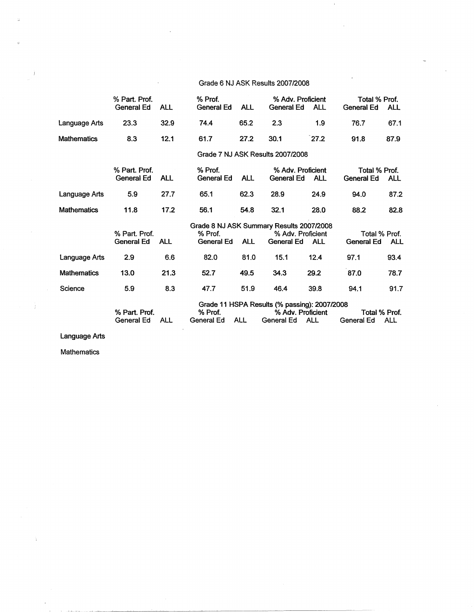### Grade 6 NJ ASK Results 2007/2008

 $\mathbf i$ 

|                    | % Part. Prof.<br><b>General Ed</b> | <b>ALL</b> | % Prof.<br>General Ed        | <b>ALL</b> | % Adv. Proficient<br>General Ed                                             | <b>ALL</b> | Total % Prof.<br>General Ed        | AL         |
|--------------------|------------------------------------|------------|------------------------------|------------|-----------------------------------------------------------------------------|------------|------------------------------------|------------|
| Language Arts      | 23.3                               | 32.9       | 74.4                         | 65.2       | 2.3                                                                         | 1.9        | 76.7                               | 67.1       |
| <b>Mathematics</b> | 8.3                                | 12.1       | 61.7                         | 27.2       | 30.1                                                                        | 27.2       | 91.8                               | 87.9       |
|                    |                                    |            |                              |            | Grade 7 NJ ASK Results 2007/2008                                            |            |                                    |            |
|                    | % Part. Prof.<br>General Ed        | <b>ALL</b> | % Prof.<br>General Ed        | <b>ALL</b> | % Adv. Proficient<br>General Ed                                             | ALL        | Total % Prof.<br><b>General Ed</b> | <b>ALL</b> |
| Language Arts      | 5.9                                | 27.7       | 65.1                         | 62.3       | 28.9                                                                        | 24.9       | 94.0                               | 87.2       |
| <b>Mathematics</b> | 11.8                               | 17.2       | 56.1                         | 54.8       | 32.1                                                                        | 28.0       | 88.2                               | 82.8       |
|                    | % Part. Prof.<br><b>General Ed</b> | <b>ALL</b> | % Prof.<br><b>General Ed</b> | <b>ALL</b> | Grade 8 NJ ASK Summary Results 2007/2008<br>% Adv. Proficient<br>General Ed | <b>ALL</b> | Total % Prof.<br><b>General Ed</b> | <b>ALL</b> |
| Language Arts      | 2.9                                | 6.6        | 82.0                         | 81.0       | 15.1                                                                        | 12.4       | 97.1                               | 93.4       |
| <b>Mathematics</b> | 13.0                               | 21.3       | 52.7                         | 49.5       | 34.3                                                                        | 29.2       | 87.0                               | 78.7       |
| Science            | 5.9                                | 8.3        | 47.7                         | 51.9       | 46.4                                                                        | 39.8       | 94.1                               | 91.7       |
|                    | % Part. Prof.                      |            | % Prof.                      |            | Grade 11 HSPA Results (% passing): 2007/2008<br>% Adv. Proficient           |            | Total % Prof.                      |            |
|                    | General Ed                         | ALL        | General Ed                   | <b>ALL</b> | General Ed                                                                  | <b>ALL</b> | General Ed                         | <b>ALL</b> |

Language Arts

 $\dot{J}$ 

Ĵ.

 $\ddot{\phantom{0}}$ 

Mathematics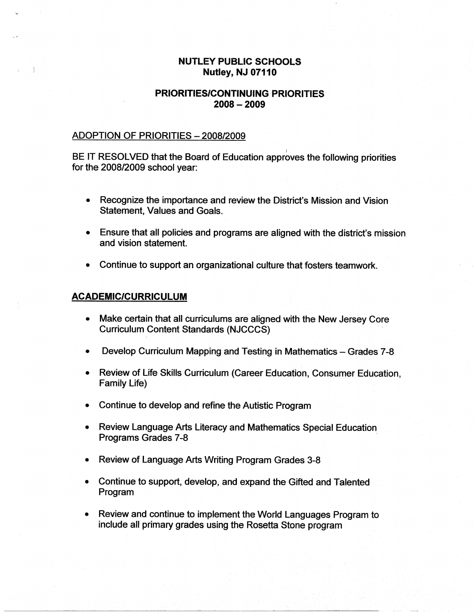## **NUTLEY PUBLIC SCHOOLS Nutley, NJ 07110**

## **PRIORITIES/CONTINUING PRIORITIES 2008-2009**

### ADOPTION OF PRIORITIES - 2008/2009

BE IT RESOLVED that the Board of Education approves the following priorities for the 2008/2009 school year:

- Recognize the importance and review the District's Mission and Vision Statement, Values and Goals.
- Ensure that all policies and programs are aligned with the district's mission and vision statement.
- Continue to support an organizational culture that fosters teamwork.

### **ACADEMIC/CURRICULUM**

- Make certain that all curriculums are aligned with the New Jersey Core Curriculum Content Standards (NJCCCS)
- Develop Curriculum Mapping and Testing in Mathematics Grades 7-8
- Review of Life Skills Curriculum (Career Education, Consumer Education, Family Life)
- Continue to develop and refine the Autistic Program
- Review Language Arts Literacy and Mathematics Special Education Programs Grades 7-8
- Review of Language Arts Writing Program Grades 3-8
- Continue to support, develop, and expand the Gifted and Talented Program
- Review and continue to implement the World Languages Program to include all primary grades using the Rosetta Stone program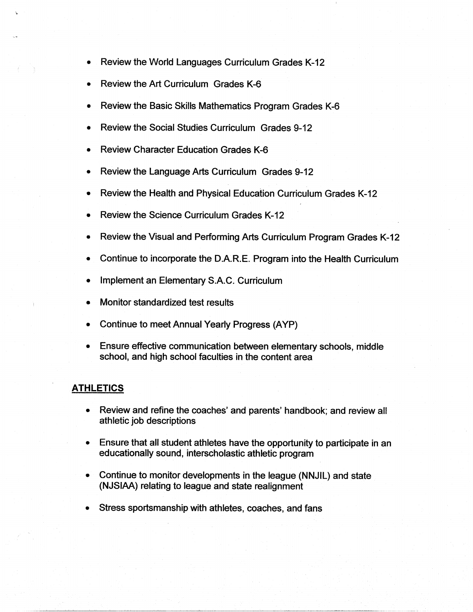- Review the World Languages Curriculum Grades K-12
- Review the Art Curriculum Grades K-6
- Review the Basic Skills Mathematics Program Grades K-6
- Review the Social Studies Curriculum Grades 9-12
- Review Character Education Grades K-6
- Review the Language Arts Curriculum Grades 9-12
- Review the Health and Physical Education Curriculum Grades K-12
- Review the Science Curriculum Grades K-12
- Review the Visual and Performing Arts Curriculum Program Grades K-12
- Continue to incorporate the D.A.R.E. Program into the Health Curriculum
- Implement an Elementary S.A.C. Curriculum
- Monitor standardized test results
- Continue to meet Annual Yearly Progress (AYP)
- Ensure effective communication between elementary schools, middle school, and high school faculties in the content area

## **ATHLETICS**

- Review and refine the coaches' and parents' handbook; and review all athletic job descriptions
- Ensure that all student athletes have the opportunity to participate in an educationally sound, interscholastic athletic program
- Continue to monitor developments in the league (NNJIL) and state (NJSIAA) relating to league and state realignment
- Stress sportsmanship with athletes, coaches, and fans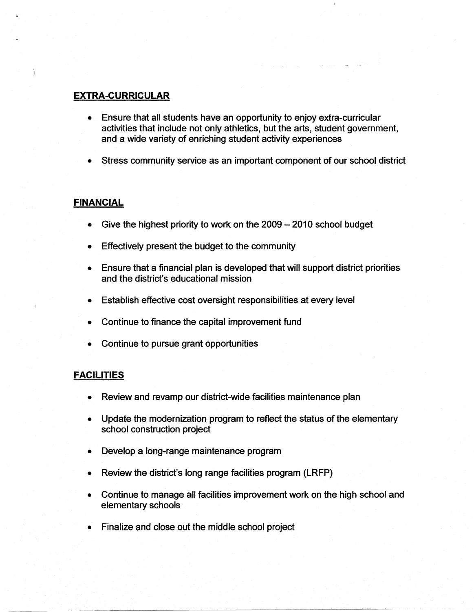## **EXTRA-CURRICULAR**

- Ensure that all students have an opportunity to enjoy extra-curricular activities that include not only athletics, but the arts, student government, and a wide variety of enriching student activity experiences
- Stress community service as an important component of our school district

## **FINANCIAL**

- Give the highest priority to work on the 2009 2010 school budget
- Effectively present the budget to the community
- Ensure that a financial plan is developed that will support district priorities and the district's educational mission
- Establish effective cost oversight responsibilities at every level
- Continue to finance the capital improvement fund
- Continue to pursue grant opportunities

## **FACILITIES**

- Review and revamp our district-wide facilities maintenance plan
- Update the modernization program to reflect the status of the elementary school construction project
- Develop a long-range maintenance program
- Review the district's long range facilities program (LRFP)
- Continue to manage all facilities improvement work on the high school and elementary schools
- Finalize and close out the middle school project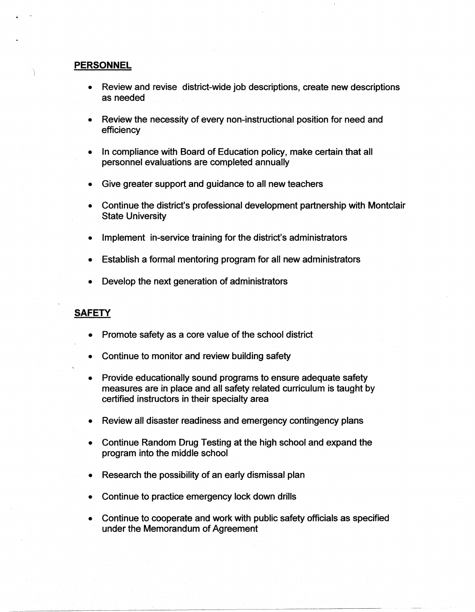## **PERSONNEL**

- Review and revise district-wide job descriptions, create new descriptions as needed
- Review the necessity of every non-instructional position for need and efficiency
- In compliance with Board of Education policy, make certain that all personnel evaluations are completed annually
- Give greater support and guidance to all new teachers
- Continue the district's professional development partnership with Montclair State University
- Implement in-service training for the district's administrators
- Establish a formal mentoring program for all new administrators
- Develop the next generation of administrators

## **SAFETY**

- Promote safety as a core value of the school district
- Continue to monitor and review building safety
- Provide educationally sound programs to ensure adequate safety measures are in place and all safety related curriculum is taught by certified instructors in their specialty area
- Review all disaster readiness and emergency contingency plans
- Continue Random Drug Testing at the high school and expand the program into the middle school
- Research the possibility of an early dismissal plan
- Continue to practice emergency lock down drills
- Continue to cooperate and work with public safety officials as specified under the Memorandum of Agreement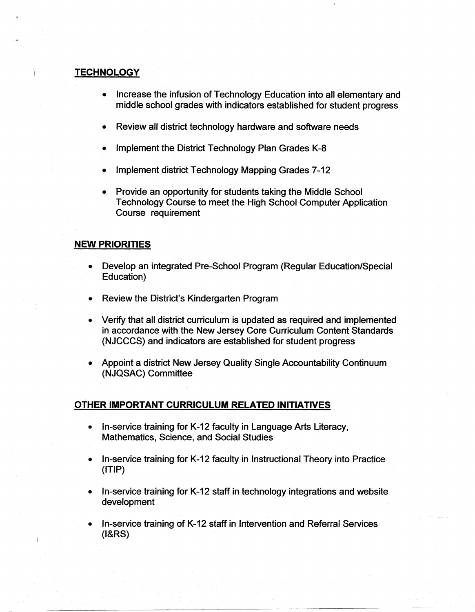# **TECHNOLOGY**

- Increase the infusion of Technology Education into all elementary and middle school grades with indicators established for student progress
- Review all district technology hardware and software needs
- Implement the District Technology Plan Grades K-8
- Implement district Technology Mapping Grades 7-12
- Provide an opportunity for students taking the Middle School Technology Course to meet the High School Computer Application Course requirement

# **NEW PRIORITIES**

- Develop an integrated Pre-School Program (Regular Education/Special Education)
- Review the District's Kindergarten Program
- Verify that all district curriculum is updated as required and implemented in accordance with the New Jersey Core Curriculum Content Standards (NJCCCS) and indicators are established for student progress
- Appoint a district New Jersey Quality Single Accountability Continuum (NJQSAC) Committee

# **OTHER IMPORTANT CURRICULUM RELATED INITIATIVES**

- In-service training for K-12 faculty in Language Arts Literacy, Mathematics, Science, and Social Studies
- In-service training for K-12 faculty in Instructional Theory into Practice (ITIP)
- In-service training for K-12 staff in technology integrations and website development
- In-service training of K-12 staff in Intervention and Referral Services (l&RS)